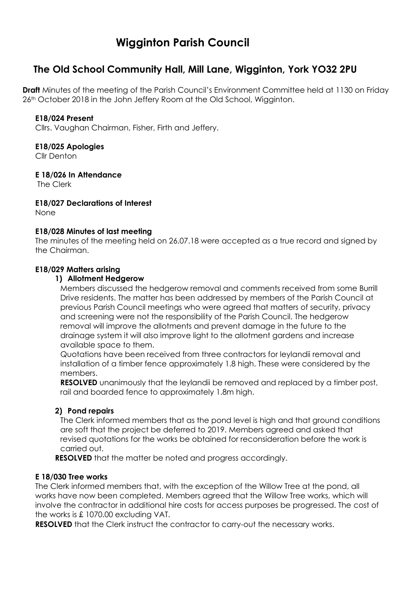# **Wigginton Parish Council**

# **The Old School Community Hall, Mill Lane, Wigginton, York YO32 2PU**

**Draft** Minutes of the meeting of the Parish Council's Environment Committee held at 1130 on Friday 26<sup>th</sup> October 2018 in the John Jeffery Room at the Old School, Wigginton.

#### **E18/024 Present**

Cllrs. Vaughan Chairman, Fisher, Firth and Jeffery.

#### **E18/025 Apologies**

Cllr Denton

#### **E 18/026 In Attendance**

The Clerk

**E18/027 Declarations of Interest**

None

#### **E18/028 Minutes of last meeting**

The minutes of the meeting held on 26.07.18 were accepted as a true record and signed by the Chairman.

#### **E18/029 Matters arising**

#### **1) Allotment Hedgerow**

Members discussed the hedgerow removal and comments received from some Burrill Drive residents. The matter has been addressed by members of the Parish Council at previous Parish Council meetings who were agreed that matters of security, privacy and screening were not the responsibility of the Parish Council. The hedgerow removal will improve the allotments and prevent damage in the future to the drainage system it will also improve light to the allotment gardens and increase available space to them.

Quotations have been received from three contractors for leylandii removal and installation of a timber fence approximately 1.8 high. These were considered by the members.

**RESOLVED** unanimously that the leylandii be removed and replaced by a timber post, rail and boarded fence to approximately 1.8m high.

## **2) Pond repairs**

The Clerk informed members that as the pond level is high and that ground conditions are soft that the project be deferred to 2019. Members agreed and asked that revised quotations for the works be obtained for reconsideration before the work is carried out.

**RESOLVED** that the matter be noted and progress accordingly.

## **E 18/030 Tree works**

The Clerk informed members that, with the exception of the Willow Tree at the pond, all works have now been completed. Members agreed that the Willow Tree works, which will involve the contractor in additional hire costs for access purposes be progressed. The cost of the works is £ 1070.00 excluding VAT.

**RESOLVED** that the Clerk instruct the contractor to carry-out the necessary works.